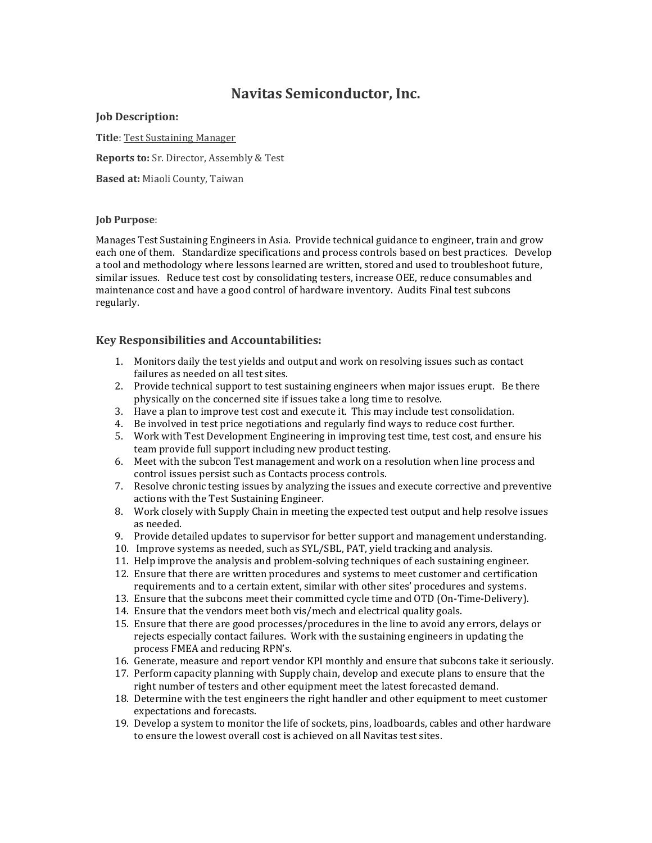# **Navitas Semiconductor, Inc.**

## **Job Description:**

**Title**: Test Sustaining Manager **Reports to:** Sr. Director, Assembly & Test

**Based at:** Miaoli County, Taiwan

## **Job Purpose**:

Manages Test Sustaining Engineers in Asia. Provide technical guidance to engineer, train and grow each one of them. Standardize specifications and process controls based on best practices. Develop a tool and methodology where lessons learned are written, stored and used to troubleshoot future, similar issues. Reduce test cost by consolidating testers, increase OEE, reduce consumables and maintenance cost and have a good control of hardware inventory. Audits Final test subcons regularly.

# **Key Responsibilities and Accountabilities:**

- 1. Monitors daily the test yields and output and work on resolving issues such as contact failures as needed on all test sites.
- 2. Provide technical support to test sustaining engineers when major issues erupt. Be there physically on the concerned site if issues take a long time to resolve.
- 3. Have a plan to improve test cost and execute it. This may include test consolidation.
- 4. Be involved in test price negotiations and regularly find ways to reduce cost further.
- 5. Work with Test Development Engineering in improving test time, test cost, and ensure his team provide full support including new product testing.
- 6. Meet with the subcon Test management and work on a resolution when line process and control issues persist such as Contacts process controls.
- 7. Resolve chronic testing issues by analyzing the issues and execute corrective and preventive actions with the Test Sustaining Engineer.
- 8. Work closely with Supply Chain in meeting the expected test output and help resolve issues as needed.
- 9. Provide detailed updates to supervisor for better support and management understanding.
- 10. Improve systems as needed, such as SYL/SBL, PAT, yield tracking and analysis.
- 11. Help improve the analysis and problem-solving techniques of each sustaining engineer.
- 12. Ensure that there are written procedures and systems to meet customer and certification requirements and to a certain extent, similar with other sites' procedures and systems.
- 13. Ensure that the subcons meet their committed cycle time and OTD (On-Time-Delivery).
- 14. Ensure that the vendors meet both vis/mech and electrical quality goals.
- 15. Ensure that there are good processes/procedures in the line to avoid any errors, delays or rejects especially contact failures. Work with the sustaining engineers in updating the process FMEA and reducing RPN's.
- 16. Generate, measure and report vendor KPI monthly and ensure that subcons take it seriously.
- 17. Perform capacity planning with Supply chain, develop and execute plans to ensure that the right number of testers and other equipment meet the latest forecasted demand.
- 18. Determine with the test engineers the right handler and other equipment to meet customer expectations and forecasts.
- 19. Develop a system to monitor the life of sockets, pins, loadboards, cables and other hardware to ensure the lowest overall cost is achieved on all Navitas test sites.